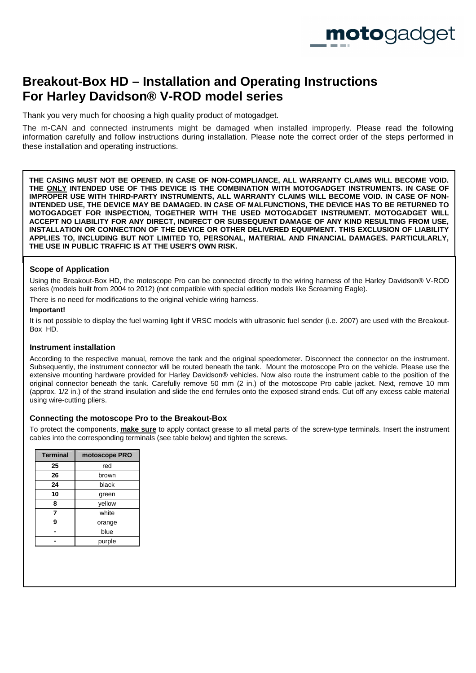

# **Breakout-Box HD – Installation and Operating Instructions For Harley Davidson® V-ROD model series**

Thank you very much for choosing a high quality product of motogadget.

The m-CAN and connected instruments might be damaged when installed improperly. Please read the following information carefully and follow instructions during installation. Please note the correct order of the steps performed in these installation and operating instructions.

**THE CASING MUST NOT BE OPENED. IN CASE OF NON-COMPLIANCE, ALL WARRANTY CLAIMS WILL BECOME VOID. THE ONLY INTENDED USE OF THIS DEVICE IS THE COMBINATION WITH MOTOGADGET INSTRUMENTS. IN CASE OF IMPROPER USE WITH THIRD-PARTY INSTRUMENTS, ALL WARRANTY CLAIMS WILL BECOME VOID. IN CASE OF NON-INTENDED USE, THE DEVICE MAY BE DAMAGED. IN CASE OF MALFUNCTIONS, THE DEVICE HAS TO BE RETURNED TO MOTOGADGET FOR INSPECTION, TOGETHER WITH THE USED MOTOGADGET INSTRUMENT. MOTOGADGET WILL ACCEPT NO LIABILITY FOR ANY DIRECT, INDIRECT OR SUBSEQUENT DAMAGE OF ANY KIND RESULTING FROM USE, INSTALLATION OR CONNECTION OF THE DEVICE OR OTHER DELIVERED EQUIPMENT. THIS EXCLUSION OF LIABILITY APPLIES TO, INCLUDING BUT NOT LIMITED TO, PERSONAL, MATERIAL AND FINANCIAL DAMAGES. PARTICULARLY, THE USE IN PUBLIC TRAFFIC IS AT THE USER'S OWN RISK.** 

# **Scope of Application**

Using the Breakout-Box HD, the motoscope Pro can be connected directly to the wiring harness of the Harley Davidson® V-ROD series (models built from 2004 to 2012) (not compatible with special edition models like Screaming Eagle).

There is no need for modifications to the original vehicle wiring harness.

#### **Important!**

It is not possible to display the fuel warning light if VRSC models with ultrasonic fuel sender (i.e. 2007) are used with the Breakout-Box HD.

# **Instrument installation**

According to the respective manual, remove the tank and the original speedometer. Disconnect the connector on the instrument. Subsequently, the instrument connector will be routed beneath the tank. Mount the motoscope Pro on the vehicle. Please use the extensive mounting hardware provided for Harley Davidson® vehicles. Now also route the instrument cable to the position of the original connector beneath the tank. Carefully remove 50 mm (2 in.) of the motoscope Pro cable jacket. Next, remove 10 mm (approx. 1/2 in.) of the strand insulation and slide the end ferrules onto the exposed strand ends. Cut off any excess cable material using wire-cutting pliers.

# **Connecting the motoscope Pro to the Breakout-Box**

To protect the components, **make sure** to apply contact grease to all metal parts of the screw-type terminals. Insert the instrument cables into the corresponding terminals (see table below) and tighten the screws.

| <b>Terminal</b> | motoscope PRO |
|-----------------|---------------|
| 25              | red           |
| 26              | brown         |
| 24              | black         |
| 10              | green         |
| 8               | yellow        |
| 7               | white         |
| 9               | orange        |
|                 | blue          |
|                 | purple        |